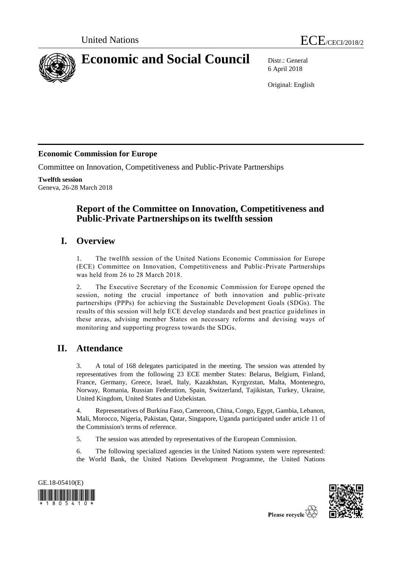



# **Economic and Social Council** Distr.: General

6 April 2018

Original: English

# **Economic Commission for Europe**

Committee on Innovation, Competitiveness and Public-Private Partnerships

**Twelfth session** Geneva, 26-28 March 2018

# **Report of the Committee on Innovation, Competitiveness and Public-Private Partnershipson its twelfth session**

# **I. Overview**

1. The twelfth session of the United Nations Economic Commission for Europe (ECE) Committee on Innovation, Competitiveness and Public-Private Partnerships was held from 26 to 28 March 2018.

2. The Executive Secretary of the Economic Commission for Europe opened the session, noting the crucial importance of both innovation and public -private partnerships (PPPs) for achieving the Sustainable Development Goals (SDGs). The results of this session will help ECE develop standards and best practice guidelines in these areas, advising member States on necessary reforms and devising ways of monitoring and supporting progress towards the SDGs.

# **II. Attendance**

3. A total of 168 delegates participated in the meeting. The session was attended by representatives from the following 23 ECE member States: Belarus, Belgium, Finland, France, Germany, Greece, Israel, Italy, Kazakhstan, Kyrgyzstan, Malta, Montenegro, Norway, Romania, Russian Federation, Spain, Switzerland, Tajikistan, Turkey, Ukraine, United Kingdom, United States and Uzbekistan.

4. Representatives of Burkina Faso, Cameroon, China, Congo, Egypt, Gambia, Lebanon, Mali, Morocco, Nigeria, Pakistan, Qatar, Singapore, Uganda participated under article 11 of the Commission's terms of reference.

5. The session was attended by representatives of the European Commission.

6. The following specialized agencies in the United Nations system were represented: the World Bank, the United Nations Development Programme, the United Nations



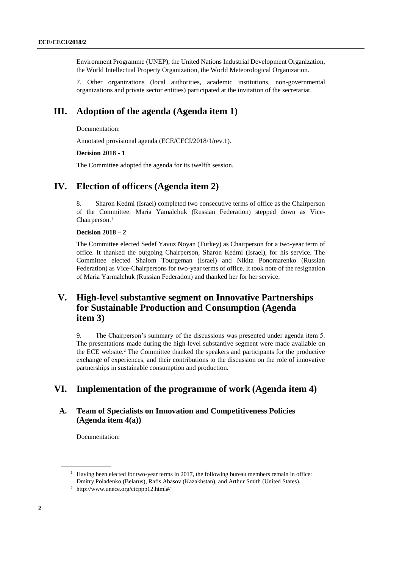Environment Programme (UNEP), the United Nations Industrial Development Organization, the World Intellectual Property Organization, the World Meteorological Organization.

7. Other organizations (local authorities, academic institutions, non-governmental organizations and private sector entities) participated at the invitation of the secretariat.

# **III. Adoption of the agenda (Agenda item 1)**

Documentation:

Annotated provisional agenda (ECE/CECI/2018/1/rev.1).

#### **Decision 2018 - 1**

The Committee adopted the agenda for its twelfth session.

### **IV. Election of officers (Agenda item 2)**

8. Sharon Kedmi (Israel) completed two consecutive terms of office as the Chairperson of the Committee. Maria Yamalchuk (Russian Federation) stepped down as Vice-Chairperson. 1

#### **Decision 2018 – 2**

The Committee elected Sedef Yavuz Noyan (Turkey) as Chairperson for a two-year term of office. It thanked the outgoing Chairperson, Sharon Kedmi (Israel), for his service. The Committee elected Shalom Tourgeman (Israel) and Nikita Ponomarenko (Russian Federation) as Vice-Chairpersons for two-year terms of office. It took note of the resignation of Maria Yarmalchuk (Russian Federation) and thanked her for her service.

# **V. High-level substantive segment on Innovative Partnerships for Sustainable Production and Consumption (Agenda item 3)**

9. The Chairperson's summary of the discussions was presented under agenda item 5. The presentations made during the high-level substantive segment were made available on the ECE website.<sup>2</sup> The Committee thanked the speakers and participants for the productive exchange of experiences, and their contributions to the discussion on the role of innovative partnerships in sustainable consumption and production.

# **VI. Implementation of the programme of work (Agenda item 4)**

### **A. Team of Specialists on Innovation and Competitiveness Policies (Agenda item 4(a))**

Documentation:

 $<sup>1</sup>$  Having been elected for two-year terms in 2017, the following bureau members remain in office:</sup> Dmitry Poladenko (Belarus), Rafis Abasov (Kazakhstan), and Arthur Smith (United States).

<sup>2</sup> <http://www.unece.org/cicppp12.html#/>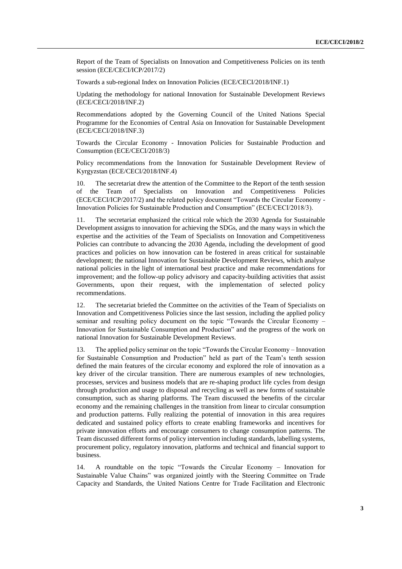Report of the Team of Specialists on Innovation and Competitiveness Policies on its tenth session (ECE/CECI/ICP/2017/2)

Towards a sub-regional Index on Innovation Policies (ECE/CECI/2018/INF.1)

Updating the methodology for national Innovation for Sustainable Development Reviews (ECE/CECI/2018/INF.2)

Recommendations adopted by the Governing Council of the United Nations Special Programme for the Economies of Central Asia on Innovation for Sustainable Development (ECE/CECI/2018/INF.3)

Towards the Circular Economy - Innovation Policies for Sustainable Production and Consumption (ECE/CECI/2018/3)

Policy recommendations from the Innovation for Sustainable Development Review of Kyrgyzstan (ECE/CECI/2018/INF.4)

10. The secretariat drew the attention of the Committee to the Report of the tenth session of the Team of Specialists on Innovation and Competitiveness Policies (ECE/CECI/ICP/2017/2) and the related policy document "Towards the Circular Economy - Innovation Policies for Sustainable Production and Consumption" (ECE/CECI/2018/3).

11. The secretariat emphasized the critical role which the 2030 Agenda for Sustainable Development assigns to innovation for achieving the SDGs, and the many ways in which the expertise and the activities of the Team of Specialists on Innovation and Competitiveness Policies can contribute to advancing the 2030 Agenda, including the development of good practices and policies on how innovation can be fostered in areas critical for sustainable development; the national Innovation for Sustainable Development Reviews, which analyse national policies in the light of international best practice and make recommendations for improvement; and the follow-up policy advisory and capacity-building activities that assist Governments, upon their request, with the implementation of selected policy recommendations.

12. The secretariat briefed the Committee on the activities of the Team of Specialists on Innovation and Competitiveness Policies since the last session, including the applied policy seminar and resulting policy document on the topic "Towards the Circular Economy – Innovation for Sustainable Consumption and Production" and the progress of the work on national Innovation for Sustainable Development Reviews.

13. The applied policy seminar on the topic "Towards the Circular Economy – Innovation for Sustainable Consumption and Production" held as part of the Team's tenth session defined the main features of the circular economy and explored the role of innovation as a key driver of the circular transition. There are numerous examples of new technologies, processes, services and business models that are re-shaping product life cycles from design through production and usage to disposal and recycling as well as new forms of sustainable consumption, such as sharing platforms. The Team discussed the benefits of the circular economy and the remaining challenges in the transition from linear to circular consumption and production patterns. Fully realizing the potential of innovation in this area requires dedicated and sustained policy efforts to create enabling frameworks and incentives for private innovation efforts and encourage consumers to change consumption patterns. The Team discussed different forms of policy intervention including standards, labelling systems, procurement policy, regulatory innovation, platforms and technical and financial support to business.

14. A roundtable on the topic "Towards the Circular Economy – Innovation for Sustainable Value Chains" was organized jointly with the Steering Committee on Trade Capacity and Standards, the United Nations Centre for Trade Facilitation and Electronic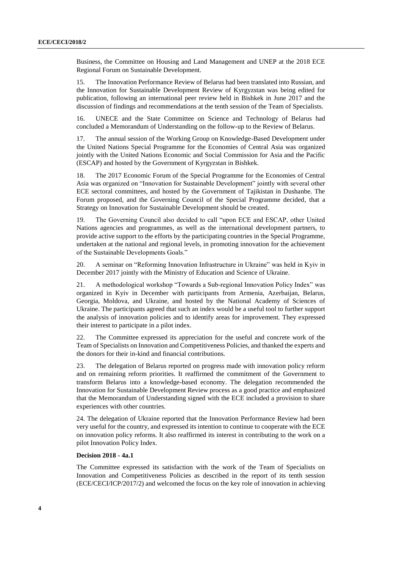Business, the Committee on Housing and Land Management and UNEP at the 2018 ECE Regional Forum on Sustainable Development.

15. The Innovation Performance Review of Belarus had been translated into Russian, and the Innovation for Sustainable Development Review of Kyrgyzstan was being edited for publication, following an international peer review held in Bishkek in June 2017 and the discussion of findings and recommendations at the tenth session of the Team of Specialists.

16. UNECE and the State Committee on Science and Technology of Belarus had concluded a Memorandum of Understanding on the follow-up to the Review of Belarus.

17. The annual session of the Working Group on Knowledge-Based Development under the United Nations Special Programme for the Economies of Central Asia was organized jointly with the United Nations Economic and Social Commission for Asia and the Pacific (ESCAP) and hosted by the Government of Kyrgyzstan in Bishkek.

18. The 2017 Economic Forum of the Special Programme for the Economies of Central Asia was organized on "Innovation for Sustainable Development" jointly with several other ECE sectoral committees, and hosted by the Government of Tajikistan in Dushanbe. The Forum proposed, and the Governing Council of the Special Programme decided, that a Strategy on Innovation for Sustainable Development should be created.

19. The Governing Council also decided to call "upon ECE and ESCAP, other United Nations agencies and programmes, as well as the international development partners, to provide active support to the efforts by the participating countries in the Special Programme, undertaken at the national and regional levels, in promoting innovation for the achievement of the Sustainable Developments Goals."

20. A seminar on "Reforming Innovation Infrastructure in Ukraine" was held in Kyiv in December 2017 jointly with the Ministry of Education and Science of Ukraine.

21. A methodological workshop "Towards a Sub-regional Innovation Policy Index" was organized in Kyiv in December with participants from Armenia, Azerbaijan, Belarus, Georgia, Moldova, and Ukraine, and hosted by the National Academy of Sciences of Ukraine. The participants agreed that such an index would be a useful tool to further support the analysis of innovation policies and to identify areas for improvement. They expressed their interest to participate in a pilot index.

22. The Committee expressed its appreciation for the useful and concrete work of the Team of Specialists on Innovation and Competitiveness Policies, and thanked the experts and the donors for their in-kind and financial contributions.

23. The delegation of Belarus reported on progress made with innovation policy reform and on remaining reform priorities. It reaffirmed the commitment of the Government to transform Belarus into a knowledge-based economy. The delegation recommended the Innovation for Sustainable Development Review process as a good practice and emphasized that the Memorandum of Understanding signed with the ECE included a provision to share experiences with other countries.

24. The delegation of Ukraine reported that the Innovation Performance Review had been very useful for the country, and expressed its intention to continue to cooperate with the ECE on innovation policy reforms. It also reaffirmed its interest in contributing to the work on a pilot Innovation Policy Index.

#### **Decision 2018 - 4a.1**

The Committee expressed its satisfaction with the work of the Team of Specialists on Innovation and Competitiveness Policies as described in the report of its tenth session (ECE/CECI/ICP/2017/2) and welcomed the focus on the key role of innovation in achieving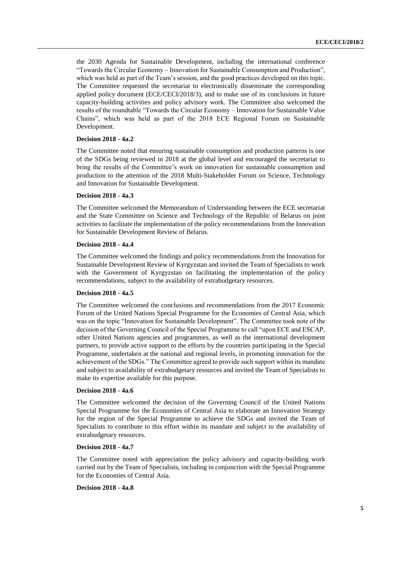the 2030 Agenda for Sustainable Development, including the international conference "Towards the Circular Economy – Innovation for Sustainable Consumption and Production", which was held as part of the Team's session, and the good practices developed on this topic. The Committee requested the secretariat to electronically disseminate the corresponding applied policy document (ECE/CECI/2018/3), and to make use of its conclusions in future capacity-building activities and policy advisory work. The Committee also welcomed the results of the roundtable "Towards the Circular Economy – Innovation for Sustainable Value Chains", which was held as part of the 2018 ECE Regional Forum on Sustainable Development.

#### **Decision 2018 - 4a.2**

The Committee noted that ensuring sustainable consumption and production patterns is one of the SDGs being reviewed in 2018 at the global level and encouraged the secretariat to bring the results of the Committee's work on innovation for sustainable consumption and production to the attention of the 2018 Multi-Stakeholder Forum on Science, Technology and Innovation for Sustainable Development.

#### **Decision 2018 - 4a.3**

The Committee welcomed the Memorandum of Understanding between the ECE secretariat and the State Committee on Science and Technology of the Republic of Belarus on joint activities to facilitate the implementation of the policy recommendations from the Innovation for Sustainable Development Review of Belarus.

#### **Decision 2018 - 4a.4**

The Committee welcomed the findings and policy recommendations from the Innovation for Sustainable Development Review of Kyrgyzstan and invited the Team of Specialists to work with the Government of Kyrgyzstan on facilitating the implementation of the policy recommendations, subject to the availability of extrabudgetary resources.

#### **Decision 2018 - 4a.5**

The Committee welcomed the conclusions and recommendations from the 2017 Economic Forum of the United Nations Special Programme for the Economies of Central Asia, which was on the topic "Innovation for Sustainable Development". The Committee took note of the decision of the Governing Council of the Special Programme to call "upon ECE and ESCAP, other United Nations agencies and programmes, as well as the international development partners, to provide active support to the efforts by the countries participating in the Special Programme, undertaken at the national and regional levels, in promoting innovation for the achievement of the SDGs." The Committee agreed to provide such support within its mandate and subject to availability of extrabudgetary resources and invited the Team of Specialists to make its expertise available for this purpose.

#### **Decision 2018 - 4a.6**

The Committee welcomed the decision of the Governing Council of the United Nations Special Programme for the Economies of Central Asia to elaborate an Innovation Strategy for the region of the Special Programme to achieve the SDGs and invited the Team of Specialists to contribute to this effort within its mandate and subject to the availability of extrabudgetary resources.

#### **Decision 2018 - 4a.7**

The Committee noted with appreciation the policy advisory and capacity-building work carried out by the Team of Specialists, including in conjunction with the Special Programme for the Economies of Central Asia.

#### **Decision 2018 - 4a.8**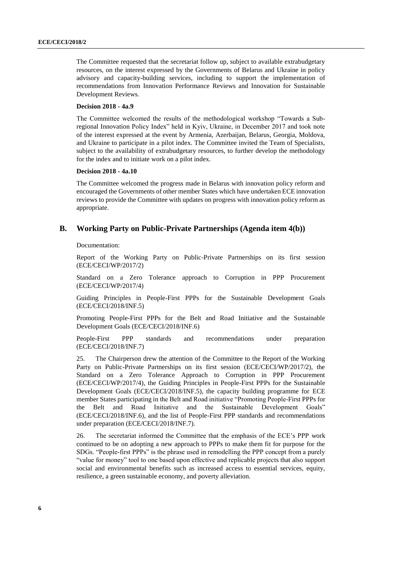The Committee requested that the secretariat follow up, subject to available extrabudgetary resources, on the interest expressed by the Governments of Belarus and Ukraine in policy advisory and capacity-building services, including to support the implementation of recommendations from Innovation Performance Reviews and Innovation for Sustainable Development Reviews.

#### **Decision 2018 - 4a.9**

The Committee welcomed the results of the methodological workshop "Towards a Subregional Innovation Policy Index" held in Kyiv, Ukraine, in December 2017 and took note of the interest expressed at the event by Armenia, Azerbaijan, Belarus, Georgia, Moldova, and Ukraine to participate in a pilot index. The Committee invited the Team of Specialists, subject to the availability of extrabudgetary resources, to further develop the methodology for the index and to initiate work on a pilot index.

#### **Decision 2018 - 4a.10**

The Committee welcomed the progress made in Belarus with innovation policy reform and encouraged the Governments of other member States which have undertaken ECE innovation reviews to provide the Committee with updates on progress with innovation policy reform as appropriate.

### **B. Working Party on Public-Private Partnerships (Agenda item 4(b))**

Documentation:

Report of the Working Party on Public-Private Partnerships on its first session (ECE/CECI/WP/2017/2)

Standard on a Zero Tolerance approach to Corruption in PPP Procurement (ECE/CECI/WP/2017/4)

Guiding Principles in People-First PPPs for the Sustainable Development Goals (ECE/CECI/2018/INF.5)

Promoting People-First PPPs for the Belt and Road Initiative and the Sustainable Development Goals (ECE/CECI/2018/INF.6)

People-First PPP standards and recommendations under preparation (ECE/CECI/2018/INF.7)

25. The Chairperson drew the attention of the Committee to the Report of the Working Party on Public-Private Partnerships on its first session (ECE/CECI/WP/2017/2), the Standard on a Zero Tolerance Approach to Corruption in PPP Procurement (ECE/CECI/WP/2017/4), the Guiding Principles in People-First PPPs for the Sustainable Development Goals (ECE/CECI/2018/INF.5), the capacity building programme for ECE member States participating in the Belt and Road initiative "Promoting People-First PPPs for the Belt and Road Initiative and the Sustainable Development Goals" (ECE/CECI/2018/INF.6), and the list of People-First PPP standards and recommendations under preparation (ECE/CECI/2018/INF.7).

26. The secretariat informed the Committee that the emphasis of the ECE's PPP work continued to be on adopting a new approach to PPPs to make them fit for purpose for the SDGs. "People-first PPPs" is the phrase used in remodelling the PPP concept from a purely "value for money" tool to one based upon effective and replicable projects that also support social and environmental benefits such as increased access to essential services, equity, resilience, a green sustainable economy, and poverty alleviation.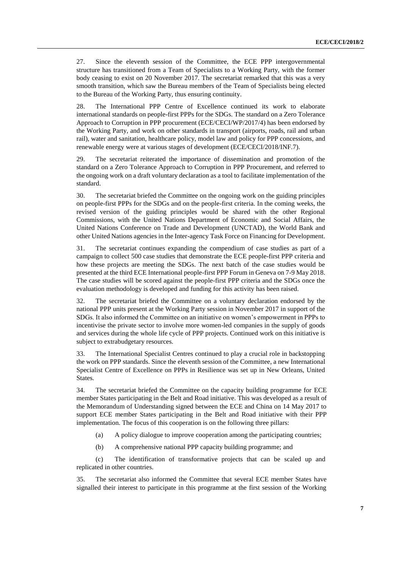27. Since the eleventh session of the Committee, the ECE PPP intergovernmental structure has transitioned from a Team of Specialists to a Working Party, with the former body ceasing to exist on 20 November 2017. The secretariat remarked that this was a very smooth transition, which saw the Bureau members of the Team of Specialists being elected to the Bureau of the Working Party, thus ensuring continuity.

28. The International PPP Centre of Excellence continued its work to elaborate international standards on people-first PPPs for the SDGs. The standard on a Zero Tolerance Approach to Corruption in PPP procurement (ECE/CECI/WP/2017/4) has been endorsed by the Working Party, and work on other standards in transport (airports, roads, rail and urban rail), water and sanitation, healthcare policy, model law and policy for PPP concessions, and renewable energy were at various stages of development (ECE/CECI/2018/INF.7).

29. The secretariat reiterated the importance of dissemination and promotion of the standard on a Zero Tolerance Approach to Corruption in PPP Procurement, and referred to the ongoing work on a draft voluntary declaration as a tool to facilitate implementation of the standard.

30. The secretariat briefed the Committee on the ongoing work on the guiding principles on people-first PPPs for the SDGs and on the people-first criteria. In the coming weeks, the revised version of the guiding principles would be shared with the other Regional Commissions, with the United Nations Department of Economic and Social Affairs, the United Nations Conference on Trade and Development (UNCTAD), the World Bank and other United Nations agencies in the Inter-agency Task Force on Financing for Development.

31. The secretariat continues expanding the compendium of case studies as part of a campaign to collect 500 case studies that demonstrate the ECE people-first PPP criteria and how these projects are meeting the SDGs. The next batch of the case studies would be presented at the third ECE International people-first PPP Forum in Geneva on 7-9 May 2018. The case studies will be scored against the people-first PPP criteria and the SDGs once the evaluation methodology is developed and funding for this activity has been raised.

32. The secretariat briefed the Committee on a voluntary declaration endorsed by the national PPP units present at the Working Party session in November 2017 in support of the SDGs. It also informed the Committee on an initiative on women's empowerment in PPPs to incentivise the private sector to involve more women-led companies in the supply of goods and services during the whole life cycle of PPP projects. Continued work on this initiative is subject to extrabudgetary resources.

33. The International Specialist Centres continued to play a crucial role in backstopping the work on PPP standards. Since the eleventh session of the Committee, a new International Specialist Centre of Excellence on PPPs in Resilience was set up in New Orleans, United States.

34. The secretariat briefed the Committee on the capacity building programme for ECE member States participating in the Belt and Road initiative. This was developed as a result of the Memorandum of Understanding signed between the ECE and China on 14 May 2017 to support ECE member States participating in the Belt and Road initiative with their PPP implementation. The focus of this cooperation is on the following three pillars:

- (a) A policy dialogue to improve cooperation among the participating countries;
- (b) A comprehensive national PPP capacity building programme; and

(c) The identification of transformative projects that can be scaled up and replicated in other countries.

35. The secretariat also informed the Committee that several ECE member States have signalled their interest to participate in this programme at the first session of the Working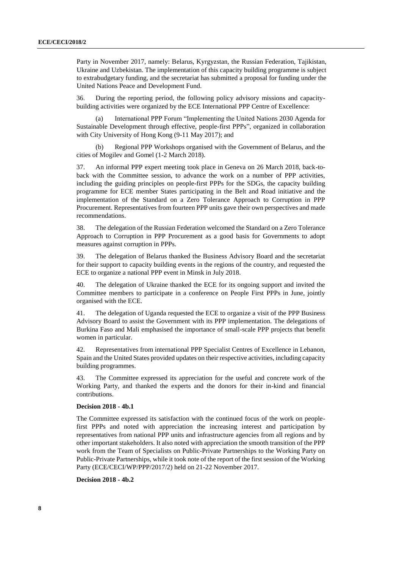Party in November 2017, namely: Belarus, Kyrgyzstan, the Russian Federation, Tajikistan, Ukraine and Uzbekistan. The implementation of this capacity building programme is subject to extrabudgetary funding, and the secretariat has submitted a proposal for funding under the United Nations Peace and Development Fund.

36. During the reporting period, the following policy advisory missions and capacitybuilding activities were organized by the ECE International PPP Centre of Excellence:

(a) International PPP Forum "Implementing the United Nations 2030 Agenda for Sustainable Development through effective, people-first PPPs", organized in collaboration with City University of Hong Kong (9-11 May 2017); and

Regional PPP Workshops organised with the Government of Belarus, and the cities of Mogilev and Gomel (1-2 March 2018).

37. An informal PPP expert meeting took place in Geneva on 26 March 2018, back-toback with the Committee session, to advance the work on a number of PPP activities, including the guiding principles on people-first PPPs for the SDGs, the capacity building programme for ECE member States participating in the Belt and Road initiative and the implementation of the Standard on a Zero Tolerance Approach to Corruption in PPP Procurement. Representatives from fourteen PPP units gave their own perspectives and made recommendations.

38. The delegation of the Russian Federation welcomed the Standard on a Zero Tolerance Approach to Corruption in PPP Procurement as a good basis for Governments to adopt measures against corruption in PPPs.

39. The delegation of Belarus thanked the Business Advisory Board and the secretariat for their support to capacity building events in the regions of the country, and requested the ECE to organize a national PPP event in Minsk in July 2018.

40. The delegation of Ukraine thanked the ECE for its ongoing support and invited the Committee members to participate in a conference on People First PPPs in June, jointly organised with the ECE.

41. The delegation of Uganda requested the ECE to organize a visit of the PPP Business Advisory Board to assist the Government with its PPP implementation. The delegations of Burkina Faso and Mali emphasised the importance of small-scale PPP projects that benefit women in particular.

42. Representatives from international PPP Specialist Centres of Excellence in Lebanon, Spain and the United States provided updates on their respective activities, including capacity building programmes.

43. The Committee expressed its appreciation for the useful and concrete work of the Working Party, and thanked the experts and the donors for their in-kind and financial contributions.

#### **Decision 2018 - 4b.1**

The Committee expressed its satisfaction with the continued focus of the work on peoplefirst PPPs and noted with appreciation the increasing interest and participation by representatives from national PPP units and infrastructure agencies from all regions and by other important stakeholders. It also noted with appreciation the smooth transition of the PPP work from the Team of Specialists on Public-Private Partnerships to the Working Party on Public-Private Partnerships, while it took note of the report of the first session of the Working Party (ECE/CECI/WP/PPP/2017/2) held on 21-22 November 2017.

**Decision 2018 - 4b.2**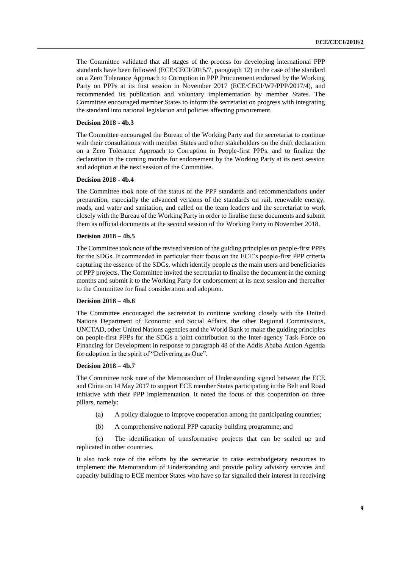The Committee validated that all stages of the process for developing international PPP standards have been followed (ECE/CECI/2015/7, paragraph 12) in the case of the standard on a Zero Tolerance Approach to Corruption in PPP Procurement endorsed by the Working Party on PPPs at its first session in November 2017 (ECE/CECI/WP/PPP/2017/4), and recommended its publication and voluntary implementation by member States. The Committee encouraged member States to inform the secretariat on progress with integrating the standard into national legislation and policies affecting procurement.

#### **Decision 2018 - 4b.3**

The Committee encouraged the Bureau of the Working Party and the secretariat to continue with their consultations with member States and other stakeholders on the draft declaration on a Zero Tolerance Approach to Corruption in People-first PPPs, and to finalize the declaration in the coming months for endorsement by the Working Party at its next session and adoption at the next session of the Committee.

#### **Decision 2018 - 4b.4**

The Committee took note of the status of the PPP standards and recommendations under preparation, especially the advanced versions of the standards on rail, renewable energy, roads, and water and sanitation, and called on the team leaders and the secretariat to work closely with the Bureau of the Working Party in order to finalise these documents and submit them as official documents at the second session of the Working Party in November 2018.

#### **Decision 2018 – 4b.5**

The Committee took note of the revised version of the guiding principles on people-first PPPs for the SDGs. It commended in particular their focus on the ECE's people-first PPP criteria capturing the essence of the SDGs, which identify people as the main users and beneficiaries of PPP projects. The Committee invited the secretariat to finalise the document in the coming months and submit it to the Working Party for endorsement at its next session and thereafter to the Committee for final consideration and adoption.

#### **Decision 2018 – 4b.6**

The Committee encouraged the secretariat to continue working closely with the United Nations Department of Economic and Social Affairs, the other Regional Commissions, UNCTAD, other United Nations agencies and the World Bank to make the guiding principles on people-first PPPs for the SDGs a joint contribution to the Inter-agency Task Force on Financing for Development in response to paragraph 48 of the Addis Ababa Action Agenda for adoption in the spirit of "Delivering as One".

#### **Decision 2018 – 4b.7**

The Committee took note of the Memorandum of Understanding signed between the ECE and China on 14 May 2017 to support ECE member States participating in the Belt and Road initiative with their PPP implementation. It noted the focus of this cooperation on three pillars, namely:

- (a) A policy dialogue to improve cooperation among the participating countries;
- (b) A comprehensive national PPP capacity building programme; and

(c) The identification of transformative projects that can be scaled up and replicated in other countries.

It also took note of the efforts by the secretariat to raise extrabudgetary resources to implement the Memorandum of Understanding and provide policy advisory services and capacity building to ECE member States who have so far signalled their interest in receiving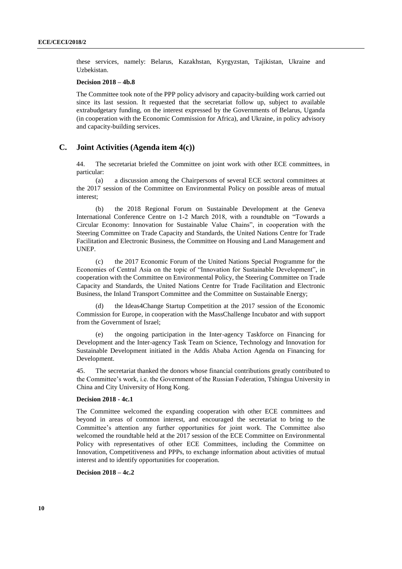these services, namely: Belarus, Kazakhstan, Kyrgyzstan, Tajikistan, Ukraine and Uzbekistan.

#### **Decision 2018 – 4b.8**

The Committee took note of the PPP policy advisory and capacity-building work carried out since its last session. It requested that the secretariat follow up, subject to available extrabudgetary funding, on the interest expressed by the Governments of Belarus, Uganda (in cooperation with the Economic Commission for Africa), and Ukraine, in policy advisory and capacity-building services.

### **C. Joint Activities (Agenda item 4(c))**

44. The secretariat briefed the Committee on joint work with other ECE committees, in particular:

(a) a discussion among the Chairpersons of several ECE sectoral committees at the 2017 session of the Committee on Environmental Policy on possible areas of mutual interest;

(b) the 2018 Regional Forum on Sustainable Development at the Geneva International Conference Centre on 1-2 March 2018, with a roundtable on "Towards a Circular Economy: Innovation for Sustainable Value Chains", in cooperation with the Steering Committee on Trade Capacity and Standards, the United Nations Centre for Trade Facilitation and Electronic Business, the Committee on Housing and Land Management and UNEP.

(c) the 2017 Economic Forum of the United Nations Special Programme for the Economies of Central Asia on the topic of "Innovation for Sustainable Development", in cooperation with the Committee on Environmental Policy, the Steering Committee on Trade Capacity and Standards, the United Nations Centre for Trade Facilitation and Electronic Business, the Inland Transport Committee and the Committee on Sustainable Energy;

(d) the Ideas4Change Startup Competition at the 2017 session of the Economic Commission for Europe, in cooperation with the MassChallenge Incubator and with support from the Government of Israel;

(e) the ongoing participation in the Inter-agency Taskforce on Financing for Development and the Inter-agency Task Team on Science, Technology and Innovation for Sustainable Development initiated in the Addis Ababa Action Agenda on Financing for Development.

45. The secretariat thanked the donors whose financial contributions greatly contributed to the Committee's work, i.e. the Government of the Russian Federation, Tshingua University in China and City University of Hong Kong.

#### **Decision 2018 - 4c.1**

The Committee welcomed the expanding cooperation with other ECE committees and beyond in areas of common interest, and encouraged the secretariat to bring to the Committee's attention any further opportunities for joint work. The Committee also welcomed the roundtable held at the 2017 session of the ECE Committee on Environmental Policy with representatives of other ECE Committees, including the Committee on Innovation, Competitiveness and PPPs, to exchange information about activities of mutual interest and to identify opportunities for cooperation.

#### **Decision 2018 – 4c.2**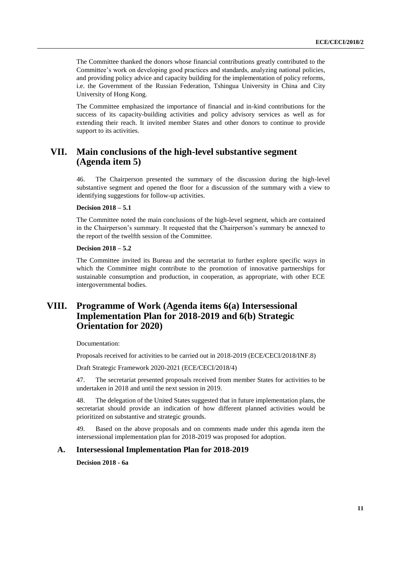The Committee thanked the donors whose financial contributions greatly contributed to the Committee's work on developing good practices and standards, analyzing national policies, and providing policy advice and capacity building for the implementation of policy reforms, i.e. the Government of the Russian Federation, Tshingua University in China and City University of Hong Kong.

The Committee emphasized the importance of financial and in-kind contributions for the success of its capacity-building activities and policy advisory services as well as for extending their reach. It invited member States and other donors to continue to provide support to its activities.

# **VII. Main conclusions of the high-level substantive segment (Agenda item 5)**

46. The Chairperson presented the summary of the discussion during the high-level substantive segment and opened the floor for a discussion of the summary with a view to identifying suggestions for follow-up activities.

#### **Decision 2018 – 5.1**

The Committee noted the main conclusions of the high-level segment, which are contained in the Chairperson's summary. It requested that the Chairperson's summary be annexed to the report of the twelfth session of the Committee.

#### **Decision 2018 – 5.2**

The Committee invited its Bureau and the secretariat to further explore specific ways in which the Committee might contribute to the promotion of innovative partnerships for sustainable consumption and production, in cooperation, as appropriate, with other ECE intergovernmental bodies.

# **VIII. Programme of Work (Agenda items 6(a) Intersessional Implementation Plan for 2018-2019 and 6(b) Strategic Orientation for 2020)**

Documentation:

Proposals received for activities to be carried out in 2018-2019 (ECE/CECI/2018/INF.8)

Draft Strategic Framework 2020-2021 (ECE/CECI/2018/4)

47. The secretariat presented proposals received from member States for activities to be undertaken in 2018 and until the next session in 2019.

48. The delegation of the United States suggested that in future implementation plans, the secretariat should provide an indication of how different planned activities would be prioritized on substantive and strategic grounds.

49. Based on the above proposals and on comments made under this agenda item the intersessional implementation plan for 2018-2019 was proposed for adoption.

#### **A. Intersessional Implementation Plan for 2018-2019**

**Decision 2018 - 6a**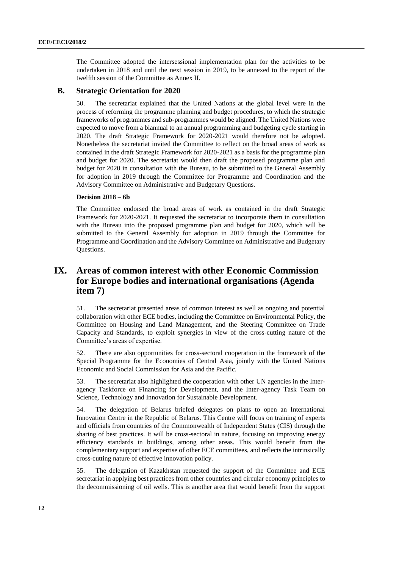The Committee adopted the intersessional implementation plan for the activities to be undertaken in 2018 and until the next session in 2019, to be annexed to the report of the twelfth session of the Committee as Annex II.

#### **B. Strategic Orientation for 2020**

50. The secretariat explained that the United Nations at the global level were in the process of reforming the programme planning and budget procedures, to which the strategic frameworks of programmes and sub-programmes would be aligned. The United Nations were expected to move from a biannual to an annual programming and budgeting cycle starting in 2020. The draft Strategic Framework for 2020-2021 would therefore not be adopted. Nonetheless the secretariat invited the Committee to reflect on the broad areas of work as contained in the draft Strategic Framework for 2020-2021 as a basis for the programme plan and budget for 2020. The secretariat would then draft the proposed programme plan and budget for 2020 in consultation with the Bureau, to be submitted to the General Assembly for adoption in 2019 through the Committee for Programme and Coordination and the Advisory Committee on Administrative and Budgetary Questions.

#### **Decision 2018 – 6b**

The Committee endorsed the broad areas of work as contained in the draft Strategic Framework for 2020-2021. It requested the secretariat to incorporate them in consultation with the Bureau into the proposed programme plan and budget for 2020, which will be submitted to the General Assembly for adoption in 2019 through the Committee for Programme and Coordination and the Advisory Committee on Administrative and Budgetary Questions.

# **IX. Areas of common interest with other Economic Commission for Europe bodies and international organisations (Agenda item 7)**

51. The secretariat presented areas of common interest as well as ongoing and potential collaboration with other ECE bodies, including the Committee on Environmental Policy, the Committee on Housing and Land Management, and the Steering Committee on Trade Capacity and Standards, to exploit synergies in view of the cross-cutting nature of the Committee's areas of expertise.

52. There are also opportunities for cross-sectoral cooperation in the framework of the Special Programme for the Economies of Central Asia, jointly with the United Nations Economic and Social Commission for Asia and the Pacific.

53. The secretariat also highlighted the cooperation with other UN agencies in the Interagency Taskforce on Financing for Development, and the Inter-agency Task Team on Science, Technology and Innovation for Sustainable Development.

54. The delegation of Belarus briefed delegates on plans to open an International Innovation Centre in the Republic of Belarus. This Centre will focus on training of experts and officials from countries of the Commonwealth of Independent States (CIS) through the sharing of best practices. It will be cross-sectoral in nature, focusing on improving energy efficiency standards in buildings, among other areas. This would benefit from the complementary support and expertise of other ECE committees, and reflects the intrinsically cross-cutting nature of effective innovation policy.

55. The delegation of Kazakhstan requested the support of the Committee and ECE secretariat in applying best practices from other countries and circular economy principles to the decommissioning of oil wells. This is another area that would benefit from the support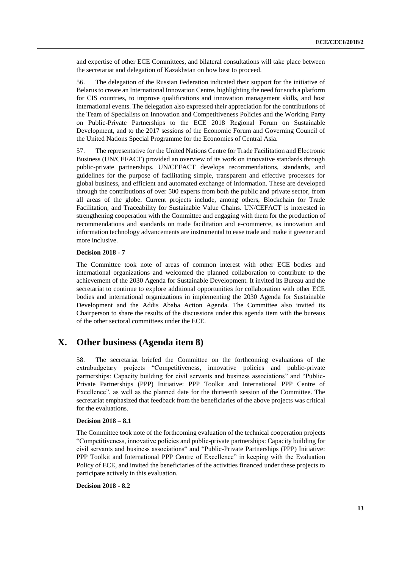and expertise of other ECE Committees, and bilateral consultations will take place between the secretariat and delegation of Kazakhstan on how best to proceed.

56. The delegation of the Russian Federation indicated their support for the initiative of Belarus to create an International Innovation Centre, highlighting the need for such a platform for CIS countries, to improve qualifications and innovation management skills, and host international events. The delegation also expressed their appreciation for the contributions of the Team of Specialists on Innovation and Competitiveness Policies and the Working Party on Public-Private Partnerships to the ECE 2018 Regional Forum on Sustainable Development, and to the 2017 sessions of the Economic Forum and Governing Council of the United Nations Special Programme for the Economies of Central Asia.

57. The representative for the United Nations Centre for Trade Facilitation and Electronic Business (UN/CEFACT) provided an overview of its work on innovative standards through public-private partnerships. UN/CEFACT develops recommendations, standards, and guidelines for the purpose of facilitating simple, transparent and effective processes for global business, and efficient and automated exchange of information. These are developed through the contributions of over 500 experts from both the public and private sector, from all areas of the globe. Current projects include, among others, Blockchain for Trade Facilitation, and Traceability for Sustainable Value Chains. UN/CEFACT is interested in strengthening cooperation with the Committee and engaging with them for the production of recommendations and standards on trade facilitation and e-commerce, as innovation and information technology advancements are instrumental to ease trade and make it greener and more inclusive.

#### **Decision 2018 - 7**

The Committee took note of areas of common interest with other ECE bodies and international organizations and welcomed the planned collaboration to contribute to the achievement of the 2030 Agenda for Sustainable Development. It invited its Bureau and the secretariat to continue to explore additional opportunities for collaboration with other ECE bodies and international organizations in implementing the 2030 Agenda for Sustainable Development and the Addis Ababa Action Agenda. The Committee also invited its Chairperson to share the results of the discussions under this agenda item with the bureaus of the other sectoral committees under the ECE.

# **X. Other business (Agenda item 8)**

58. The secretariat briefed the Committee on the forthcoming evaluations of the extrabudgetary projects "Competitiveness, innovative policies and public-private partnerships: Capacity building for civil servants and business associations" and "Public-Private Partnerships (PPP) Initiative: PPP Toolkit and International PPP Centre of Excellence", as well as the planned date for the thirteenth session of the Committee. The secretariat emphasized that feedback from the beneficiaries of the above projects was critical for the evaluations.

#### **Decision 2018 – 8.1**

The Committee took note of the forthcoming evaluation of the technical cooperation projects "Competitiveness, innovative policies and public-private partnerships: Capacity building for civil servants and business associations" and "Public-Private Partnerships (PPP) Initiative: PPP Toolkit and International PPP Centre of Excellence" in keeping with the Evaluation Policy of ECE, and invited the beneficiaries of the activities financed under these projects to participate actively in this evaluation.

#### **Decision 2018 - 8.2**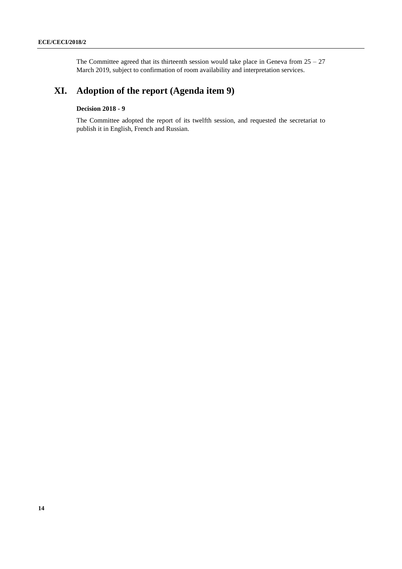The Committee agreed that its thirteenth session would take place in Geneva from  $25 - 27$ March 2019, subject to confirmation of room availability and interpretation services.

# **XI. Adoption of the report (Agenda item 9)**

### **Decision 2018 - 9**

The Committee adopted the report of its twelfth session, and requested the secretariat to publish it in English, French and Russian.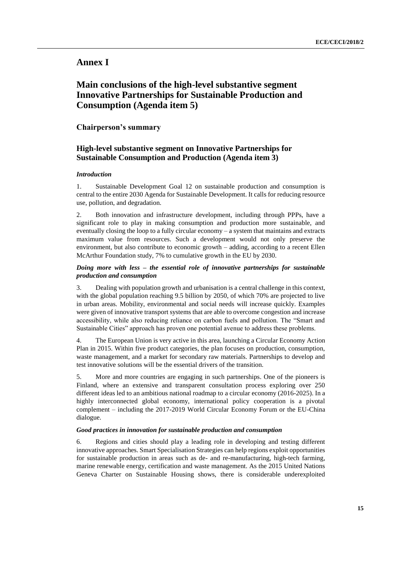## **Annex I**

# **Main conclusions of the high-level substantive segment Innovative Partnerships for Sustainable Production and Consumption (Agenda item 5)**

### **Chairperson's summary**

### **High-level substantive segment on Innovative Partnerships for Sustainable Consumption and Production (Agenda item 3)**

#### *Introduction*

1. Sustainable Development Goal 12 on sustainable production and consumption is central to the entire 2030 Agenda for Sustainable Development. It calls for reducing resource use, pollution, and degradation.

2. Both innovation and infrastructure development, including through PPPs, have a significant role to play in making consumption and production more sustainable, and eventually closing the loop to a fully circular economy – a system that maintains and extracts maximum value from resources. Such a development would not only preserve the environment, but also contribute to economic growth – adding, according to a recent Ellen McArthur Foundation study, 7% to cumulative growth in the EU by 2030.

#### *Doing more with less – the essential role of innovative partnerships for sustainable production and consumption*

3. Dealing with population growth and urbanisation is a central challenge in this context, with the global population reaching 9.5 billion by 2050, of which 70% are projected to live in urban areas. Mobility, environmental and social needs will increase quickly. Examples were given of innovative transport systems that are able to overcome congestion and increase accessibility, while also reducing reliance on carbon fuels and pollution. The "Smart and Sustainable Cities" approach has proven one potential avenue to address these problems.

4. The European Union is very active in this area, launching a Circular Economy Action Plan in 2015. Within five product categories, the plan focuses on production, consumption, waste management, and a market for secondary raw materials. Partnerships to develop and test innovative solutions will be the essential drivers of the transition.

5. More and more countries are engaging in such partnerships. One of the pioneers is Finland, where an extensive and transparent consultation process exploring over 250 different ideas led to an ambitious national roadmap to a circular economy (2016-2025). In a highly interconnected global economy, international policy cooperation is a pivotal complement – including the 2017-2019 World Circular Economy Forum or the EU-China dialogue.

#### *Good practices in innovation for sustainable production and consumption*

6. Regions and cities should play a leading role in developing and testing different innovative approaches. Smart Specialisation Strategies can help regions exploit opportunities for sustainable production in areas such as de- and re-manufacturing, high-tech farming, marine renewable energy, certification and waste management. As the 2015 United Nations Geneva Charter on Sustainable Housing shows, there is considerable underexploited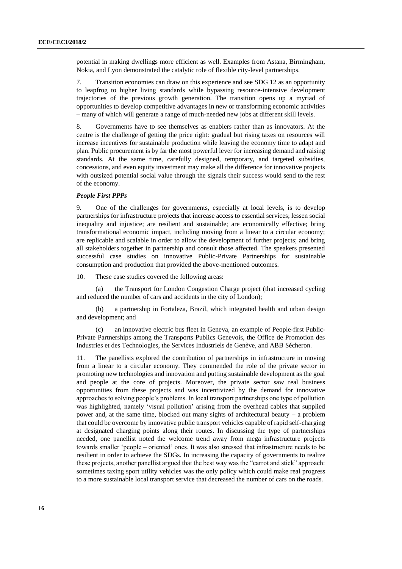potential in making dwellings more efficient as well. Examples from Astana, Birmingham, Nokia, and Lyon demonstrated the catalytic role of flexible city-level partnerships.

7. Transition economies can draw on this experience and see SDG 12 as an opportunity to leapfrog to higher living standards while bypassing resource-intensive development trajectories of the previous growth generation. The transition opens up a myriad of opportunities to develop competitive advantages in new or transforming economic activities – many of which will generate a range of much-needed new jobs at different skill levels.

8. Governments have to see themselves as enablers rather than as innovators. At the centre is the challenge of getting the price right: gradual but rising taxes on resources will increase incentives for sustainable production while leaving the economy time to adapt and plan. Public procurement is by far the most powerful lever for increasing demand and raising standards. At the same time, carefully designed, temporary, and targeted subsidies, concessions, and even equity investment may make all the difference for innovative projects with outsized potential social value through the signals their success would send to the rest of the economy.

#### *People First PPPs*

9. One of the challenges for governments, especially at local levels, is to develop partnerships for infrastructure projects that increase access to essential services; lessen social inequality and injustice; are resilient and sustainable; are economically effective; bring transformational economic impact, including moving from a linear to a circular economy; are replicable and scalable in order to allow the development of further projects; and bring all stakeholders together in partnership and consult those affected. The speakers presented successful case studies on innovative Public-Private Partnerships for sustainable consumption and production that provided the above-mentioned outcomes.

10. These case studies covered the following areas:

(a) the Transport for London Congestion Charge project (that increased cycling and reduced the number of cars and accidents in the city of London);

(b) a partnership in Fortaleza, Brazil, which integrated health and urban design and development; and

(c) an innovative electric bus fleet in Geneva, an example of People-first Public-Private Partnerships among the Transports Publics Genevois, the Office de Promotion des Industries et des Technologies, the Services Industriels de Genève, and ABB Sécheron.

11. The panellists explored the contribution of partnerships in infrastructure in moving from a linear to a circular economy. They commended the role of the private sector in promoting new technologies and innovation and putting sustainable development as the goal and people at the core of projects. Moreover, the private sector saw real business opportunities from these projects and was incentivized by the demand for innovative approaches to solving people's problems. In local transport partnerships one type of pollution was highlighted, namely 'visual pollution' arising from the overhead cables that supplied power and, at the same time, blocked out many sights of architectural beauty – a problem that could be overcome by innovative public transport vehicles capable of rapid self-charging at designated charging points along their routes. In discussing the type of partnerships needed, one panellist noted the welcome trend away from mega infrastructure projects towards smaller 'people – oriented' ones. It was also stressed that infrastructure needs to be resilient in order to achieve the SDGs. In increasing the capacity of governments to realize these projects, another panellist argued that the best way was the "carrot and stick" approach: sometimes taxing sport utility vehicles was the only policy which could make real progress to a more sustainable local transport service that decreased the number of cars on the roads.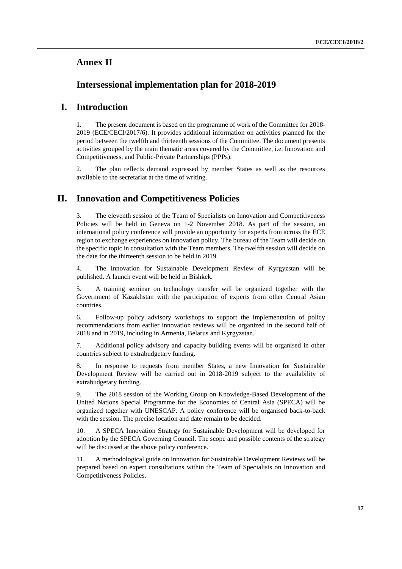### **Annex II**

# **Intersessional implementation plan for 2018-2019**

# **I. Introduction**

1. The present document is based on the programme of work of the Committee for 2018- 2019 (ECE/CECI/2017/6). It provides additional information on activities planned for the period between the twelfth and thirteenth sessions of the Committee. The document presents activities grouped by the main thematic areas covered by the Committee, i.e. Innovation and Competitiveness, and Public-Private Partnerships (PPPs).

2. The plan reflects demand expressed by member States as well as the resources available to the secretariat at the time of writing.

## **II. Innovation and Competitiveness Policies**

3. The eleventh session of the Team of Specialists on Innovation and Competitiveness Policies will be held in Geneva on 1-2 November 2018. As part of the session, an international policy conference will provide an opportunity for experts from across the ECE region to exchange experiences on innovation policy. The bureau of the Team will decide on the specific topic in consultation with the Team members. The twelfth session will decide on the date for the thirteenth session to be held in 2019.

4. The Innovation for Sustainable Development Review of Kyrgyzstan will be published. A launch event will be held in Bishkek.

5. A training seminar on technology transfer will be organized together with the Government of Kazakhstan with the participation of experts from other Central Asian countries.

6. Follow-up policy advisory workshops to support the implementation of policy recommendations from earlier innovation reviews will be organized in the second half of 2018 and in 2019, including in Armenia, Belarus and Kyrgyzstan.

7. Additional policy advisory and capacity building events will be organised in other countries subject to extrabudgetary funding.

8. In response to requests from member States, a new Innovation for Sustainable Development Review will be carried out in 2018-2019 subject to the availability of extrabudgetary funding.

9. The 2018 session of the Working Group on Knowledge-Based Development of the United Nations Special Programme for the Economies of Central Asia (SPECA) will be organized together with UNESCAP. A policy conference will be organised back-to-back with the session. The precise location and date remain to be decided.

10. A SPECA Innovation Strategy for Sustainable Development will be developed for adoption by the SPECA Governing Council. The scope and possible contents of the strategy will be discussed at the above policy conference.

11. A methodological guide on Innovation for Sustainable Development Reviews will be prepared based on expert consultations within the Team of Specialists on Innovation and Competitiveness Policies.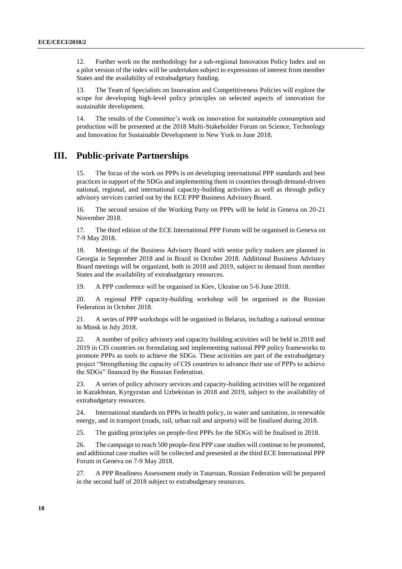12. Further work on the methodology for a sub-regional Innovation Policy Index and on a pilot version of the index will be undertaken subject to expressions of interest from member States and the availability of extrabudgetary funding.

13. The Team of Specialists on Innovation and Competitiveness Policies will explore the scope for developing high-level policy principles on selected aspects of innovation for sustainable development.

14. The results of the Committee's work on innovation for sustainable consumption and production will be presented at the 2018 Multi-Stakeholder Forum on Science, Technology and Innovation for Sustainable Development in New York in June 2018.

## **III. Public-private Partnerships**

15. The focus of the work on PPPs is on developing international PPP standards and best practices in support of the SDGs and implementing them in countries through demand-driven national, regional, and international capacity-building activities as well as through policy advisory services carried out by the ECE PPP Business Advisory Board.

16. The second session of the Working Party on PPPs will be held in Geneva on 20-21 November 2018.

17. The third edition of the ECE International PPP Forum will be organised in Geneva on 7-9 May 2018.

18. Meetings of the Business Advisory Board with senior policy makers are planned in Georgia in September 2018 and in Brazil in October 2018. Additional Business Advisory Board meetings will be organized, both in 2018 and 2019, subject to demand from member States and the availability of extrabudgetary resources.

19. A PPP conference will be organised in Kiev, Ukraine on 5-6 June 2018.

20. A regional PPP capacity-building workshop will be organised in the Russian Federation in October 2018.

21. A series of PPP workshops will be organised in Belarus, including a national seminar in Minsk in July 2018.

22. A number of policy advisory and capacity building activities will be held in 2018 and 2019 in CIS countries on formulating and implementing national PPP policy frameworks to promote PPPs as tools to achieve the SDGs. These activities are part of the extrabudgetary project "Strengthening the capacity of CIS countries to advance their use of PPPs to achieve the SDGs" financed by the Russian Federation.

23. A series of policy advisory services and capacity-building activities will be organized in Kazakhstan, Kyrgyzstan and Uzbekistan in 2018 and 2019, subject to the availability of extrabudgetary resources.

24. International standards on PPPs in health policy, in water and sanitation, in renewable energy, and in transport (roads, rail, urban rail and airports) will be finalized during 2018.

25. The guiding principles on people-first PPPs for the SDGs will be finalised in 2018.

26. The campaign to reach 500 people-first PPP case studies will continue to be promoted, and additional case studies will be collected and presented at the third ECE International PPP Forum in Geneva on 7-9 May 2018.

27. A PPP Readiness Assessment study in Tatarstan, Russian Federation will be prepared in the second half of 2018 subject to extrabudgetary resources.